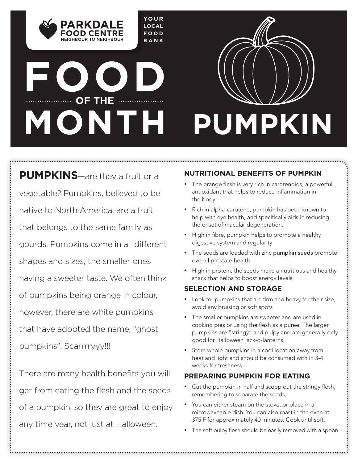**YOUR LOCAL FOOD BANK**

# **FOOD OF THE MONTH**

NEIGHROUR TO NEIGHROUR



**PUMPKINS**—are they a fruit or a vegetable? Pumpkins, believed to be native to North America, are a fruit that belongs to the same family as gourds. Pumpkins come in all different shapes and sizes, the smaller ones having a sweeter taste. We often think of pumpkins being orange in colour, however, there are white pumpkins that have adopted the name, "ghost pumpkins". Scarrrryyy!!!

There are many health benefits you will get from eating the flesh and the seeds of a pumpkin, so they are great to enjoy any time year, not just at Halloween.

#### **NUTRITIONAL BENEFITS OF PUMPKIN**

- The orange flesh is very rich in carotenoids, a powerful antioxidant that helps to reduce inflammation in the body
- Rich in alpha-carotene, pumpkin has been known to help with eye health, and specifically aids in reducing the onset of macular degeneration.
- High in fibre, pumpkin helps to promote a healthy digestive system and regularity
- The seeds are loaded with zinc pumpkin seeds promote overall prostate health
- High in protein, the seeds make a nutritious and healthy snack that helps to boost energy levels.

### **SELECTION AND STORAGE**

- Look for pumpkins that are firm and heavy for their size, avoid any bruising or soft spots
- The smaller pumpkins are sweeter and are used in cooking pies or using the flesh as a puree. The larger pumpkins are "stringy" and pulpy and are generally only good for Halloween jack-o-lanterns.
- Store whole pumpkins in a cool location away from heat and light and should be consumed with in 3-4 weeks for freshness

### **PREPARING PUMPKIN FOR EATING**

- Cut the pumpkin in half and scoop out the stringy flesh, remembering to separate the seeds.
- You can either steam on the stove, or place in a microwaveable dish. You can also roast in the oven at 375 F for approximately 40 minutes. Cook until soft.
- The soft pulpy flesh should be easily removed with a spoon